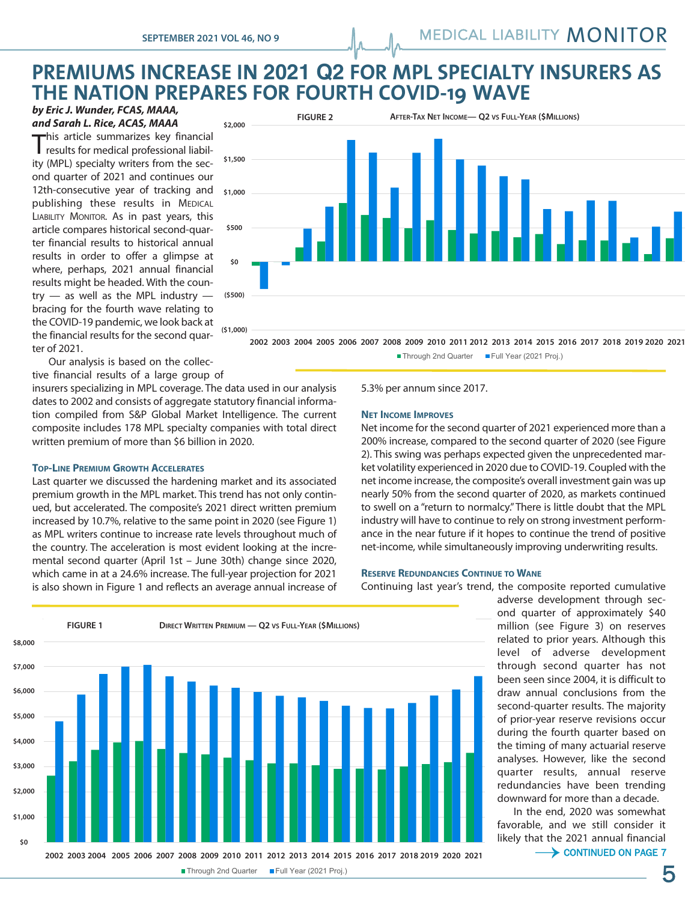## "#\$%&'!(! **PREMIUMS INCREASE IN 2021 Q2 FOR MPL SPECIALTY INSURERS AS**  $\blacksquare$  **THE NATION PREPARES FOR FOURTH COVID-19 WAVE H** COVID-10 WAVE

*by Eric J. Wunder, FCAS, MAAA, and Sarah L. Rice, ACAS, MAAA*

This article summarizes key financial results for medical professional liability (MPL) specialty writers from the second quarter of 2021 and continues our 12th-consecutive year of tracking and publishing these results in MEDICAL LIABILITY MONITOR. As in past years, this article compares historical second-quarter financial results to historical annual results in order to offer a glimpse at where, perhaps, 2021 annual financial results might be headed. With the country  $-$  as well as the MPL industry  $$ bracing for the fourth wave relating to the COVID-19 pandemic, we look back at the financial results for the second quarter of 2021.



2002 2003 2004 2005 2006 2007 2008 2009 2010 2011 2012 2013 2014 2015 2016 2017 2018 2019 2020 2021 ■ Through 2nd Quarter ■ Full Year (2021 Proj.)

Our analysis is based on the collective financial results of a large group of

insurers specializing in MPL coverage. The data used in our analysis dates to 2002 and consists of aggregate statutory financial information compiled from S&P Global Market Intelligence. The current composite includes 178 MPL specialty companies with total direct written premium of more than \$6 billion in 2020.

### **TOP-LINE PREMIUM GROWTH ACCELERATES**

Last quarter we discussed the hardening market and its associated premium growth in the MPL market. This trend has not only continued, but accelerated. The composite's 2021 direct written premium increased by 10.7%, relative to the same point in 2020 (see Figure 1) as MPL writers continue to increase rate levels throughout much of the country. The acceleration is most evident looking at the incremental second quarter (April 1st – June 30th) change since 2020, which came in at a 24.6% increase. The full-year projection for 2021 is also shown in Figure 1 and reflects an average annual increase of



### **NET INCOME IMPROVES**

Net income for the second quarter of 2021 experienced more than a 200% increase, compared to the second quarter of 2020 (see Figure 2). This swing was perhaps expected given the unprecedented market volatility experienced in 2020 due to COVID-19. Coupled with the net income increase, the composite's overall investment gain was up nearly 50% from the second quarter of 2020, as markets continued to swell on a "return to normalcy."There is little doubt that the MPL industry will have to continue to rely on strong investment performance in the near future if it hopes to continue the trend of positive net-income, while simultaneously improving underwriting results.

#### **RESERVE REDUNDANCIES CONTINUE TO WANE**

Continuing last year's trend, the composite reported cumulative

adverse development through second quarter of approximately \$40 million (see Figure 3) on reserves related to prior years. Although this level of adverse development through second quarter has not been seen since 2004, it is difficult to draw annual conclusions from the second-quarter results. The majority of prior-year reserve revisions occur during the fourth quarter based on the timing of many actuarial reserve analyses. However, like the second quarter results, annual reserve redundancies have been trending downward for more than a decade.

In the end, 2020 was somewhat favorable, and we still consider it likely that the 2021 annual financial



# Through 2nd Quarter Full Year (2021 Proj.)